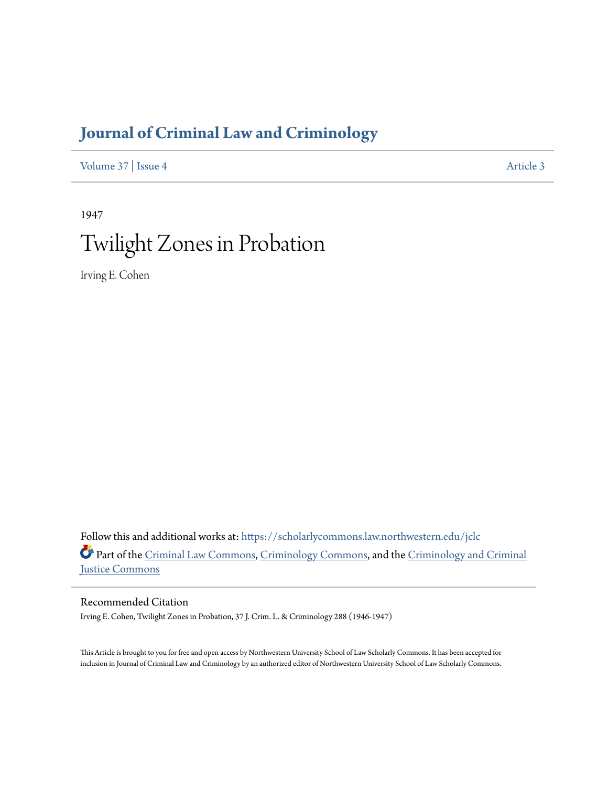## **[Journal of Criminal Law and Criminology](https://scholarlycommons.law.northwestern.edu/jclc?utm_source=scholarlycommons.law.northwestern.edu%2Fjclc%2Fvol37%2Fiss4%2F3&utm_medium=PDF&utm_campaign=PDFCoverPages)**

[Volume 37](https://scholarlycommons.law.northwestern.edu/jclc/vol37?utm_source=scholarlycommons.law.northwestern.edu%2Fjclc%2Fvol37%2Fiss4%2F3&utm_medium=PDF&utm_campaign=PDFCoverPages) | [Issue 4](https://scholarlycommons.law.northwestern.edu/jclc/vol37/iss4?utm_source=scholarlycommons.law.northwestern.edu%2Fjclc%2Fvol37%2Fiss4%2F3&utm_medium=PDF&utm_campaign=PDFCoverPages) [Article 3](https://scholarlycommons.law.northwestern.edu/jclc/vol37/iss4/3?utm_source=scholarlycommons.law.northwestern.edu%2Fjclc%2Fvol37%2Fiss4%2F3&utm_medium=PDF&utm_campaign=PDFCoverPages)

1947 Twilight Zones in Probation

Irving E. Cohen

Follow this and additional works at: [https://scholarlycommons.law.northwestern.edu/jclc](https://scholarlycommons.law.northwestern.edu/jclc?utm_source=scholarlycommons.law.northwestern.edu%2Fjclc%2Fvol37%2Fiss4%2F3&utm_medium=PDF&utm_campaign=PDFCoverPages) Part of the [Criminal Law Commons](http://network.bepress.com/hgg/discipline/912?utm_source=scholarlycommons.law.northwestern.edu%2Fjclc%2Fvol37%2Fiss4%2F3&utm_medium=PDF&utm_campaign=PDFCoverPages), [Criminology Commons](http://network.bepress.com/hgg/discipline/417?utm_source=scholarlycommons.law.northwestern.edu%2Fjclc%2Fvol37%2Fiss4%2F3&utm_medium=PDF&utm_campaign=PDFCoverPages), and the [Criminology and Criminal](http://network.bepress.com/hgg/discipline/367?utm_source=scholarlycommons.law.northwestern.edu%2Fjclc%2Fvol37%2Fiss4%2F3&utm_medium=PDF&utm_campaign=PDFCoverPages) [Justice Commons](http://network.bepress.com/hgg/discipline/367?utm_source=scholarlycommons.law.northwestern.edu%2Fjclc%2Fvol37%2Fiss4%2F3&utm_medium=PDF&utm_campaign=PDFCoverPages)

Recommended Citation

Irving E. Cohen, Twilight Zones in Probation, 37 J. Crim. L. & Criminology 288 (1946-1947)

This Article is brought to you for free and open access by Northwestern University School of Law Scholarly Commons. It has been accepted for inclusion in Journal of Criminal Law and Criminology by an authorized editor of Northwestern University School of Law Scholarly Commons.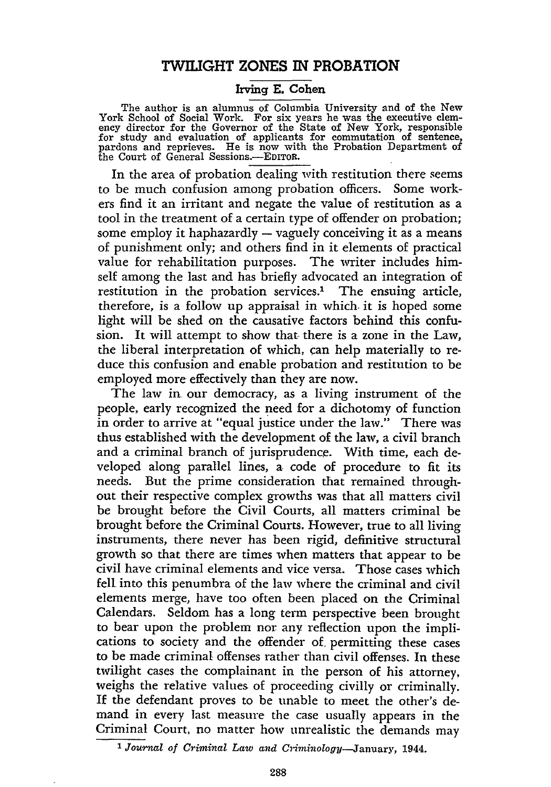## **TWIIGHT ZONES IN PROBATION**

## Irving **E.** Cohen

The author is an alumnus of Columbia University and of the New York School of Social Work. For six years he was the executive clemency director for the Governor of the State of New York, responsible for study and evaluation of applicants for commutation of sentence, pardons and reprieves. He is now with the Probation Department of the Court of General Sessions.--EDITOR

In the area of probation dealing with restitution there seems to be much confusion among probation officers. Some workers find it an irritant and negate the value of restitution as a tool in the treatment of a certain type of offender on probation; some employ it haphazardly  $-$  vaguely conceiving it as a means of punishment only; and others find in it elements of practical value for rehabilitation purposes. The writer includes himself among the last and has briefly advocated an integration of restitution in the probation services.' The ensuing article, therefore, is a follow up appraisal in which it is hoped some light will be shed on the causative factors behind this confusion. It will attempt to show that- there is a zone in the Law, the liberal interpretation of which, can help materially to reduce this confusion and enable probation and restitution to be employed more effectively than they are now.

The law in our democracy, as a living instrument of the people, early recognized the need for a dichotomy of function in order to arrive at "equal justice under the law." There was thus established with the development of the law, a civil branch and a criminal branch of jurisprudence. With time, each developed along parallel lines, a code of procedure to fit its needs. But the prime consideration that remained throughout their respective complex growths was that all matters civil be brought before the Civil Courts, all matters criminal be brought before the Criminal Courts. However, true to all living instruments, there never has been rigid, definitive structural growth so that there are times when matters that appear to be civil have criminal elements and vice versa. Those cases which fell into this penumbra of the law where the criminal and civil elements merge, have too often been placed on the Criminal Calendars. Seldom has a long term perspective been brought to bear upon the problem nor any reflection upon the implications to society and the offender *of,* permitting these cases to be made criminal offenses rather than civil offenses. In these twilight cases the complainant in the person of his attorney, weighs the relative values of proceeding civilly or criminally. If the defendant proves to be unable to meet the other's demand in every last measure the case usually appears in the Criminal Court, no matter how unrealistic the demands may

**I** *Journal of Criminal Law and Criminology-January,* 1944.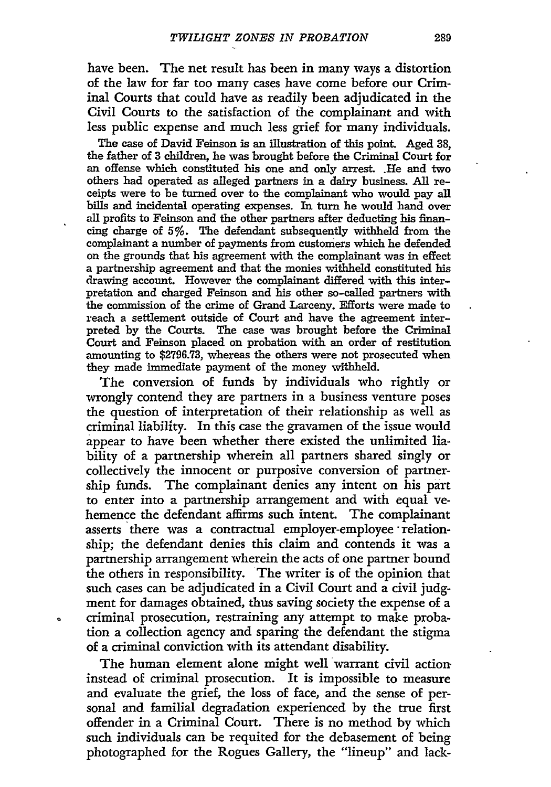have been. The net result has been in many ways a distortion of the law for far too many cases have come before our Criminal Courts that could have as readily been adjudicated in the Civil Courts to the satisfaction of the complainant and with less public expense and much less grief for many individuals.

The case of David Feinson is an illustration of this point. Aged **38,** the father of **3** children, he was brought before the Criminal Court for an offense which constituted his one and only arrest. .He and two others had operated as alleged partners in a dairy business. All receipts were to be turned over to the complainant who would pay all bills and incidental operating expenses. In turn he would hand over all profits to Feinson and the other partners after deducting his financing charge of **5%.** The defendant subsequently withheld from the complainant a number of payments from customers which he defended on the grounds that his agreement with the complainant was in effect a partnership agreement and that the monies withheld constituted his drawing account. However the complainant differed with this interpretation and charged Feinson and his other so-called partners with the commission of the crime of Grand Larceny. Efforts were made to reach a settlement outside of Court and have the agreement interpreted by the Courts. The case was brought before the Criminal Court and Feinson placed on probation with an order of restitution amounting to \$2796.73, whereas the others were not prosecuted when they made immediate payment of the money withheld.

The conversion of funds by individuals who rightly or wrongly contend they are partners in a business venture poses the question of interpretation of their relationship as well as criminal liability. In this case the gravamen of the issue would appear to have been whether there existed the unlimited liability of a partnership wherein all partners shared singly or collectively the innocent or purposive conversion of partnership funds. The complainant denies any intent on his part to enter into a partnership arrangement and with equal vehemence the defendant affirms such intent. The complainant asserts there was a contractual employer-employee "relationship; the defendant denies this claim and contends it was a partnership arrangement wherein the acts of one partner bound the others in responsibility. The writer is of the opinion that such cases can be adjudicated in a Civil Court and a civil judgment for damages obtained, thus saving society the expense of a criminal prosecution, restraining any attempt to make probation a collection agency and sparing the defendant the stigma of a criminal conviction with its attendant disability.

The human element alone might well warrant civil action. instead of criminal prosecution. It is impossible to measure and evaluate the grief, the loss of face, and the sense of personal and familial degradation experienced by the true first offender in a Criminal Court. There is no method by which such individuals can be requited for the debasement of being photographed for the Rogues Gallery, the "lineup" and lack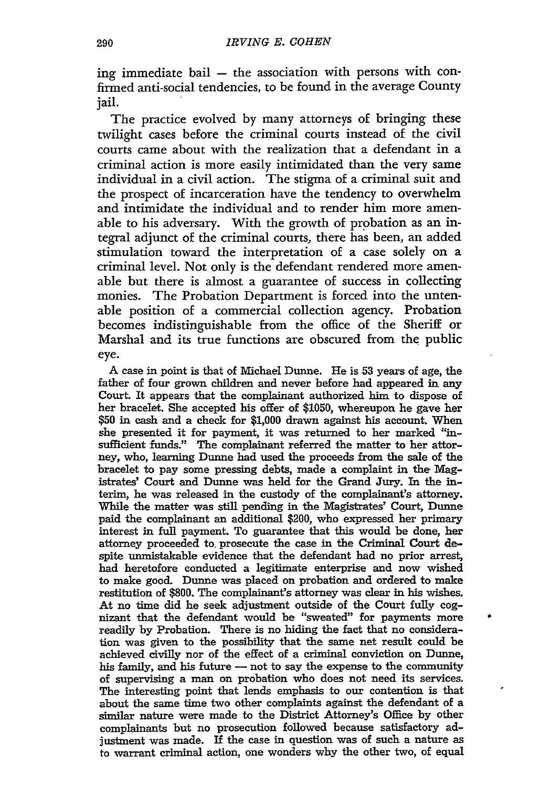ing immediate bail  $-$  the association with persons with confirmed anti-social tendencies, to be found in the average County jail.

The practice evolved by many attorneys of bringing these twilight cases before the criminal courts instead of the civil courts came about with the realization that a defendant in a criminal action is more easily intimidated than the very same individual in a civil action. The stigma of a criminal suit and the prospect of incarceration have the tendency to overwhelm and intimidate the individual and to render him more amenable to his adversary. With the growth of probation as an integral adjunct of the criminal courts, there has been, an added stimulation toward the interpretation of a case solely on a criminal level. Not only is the defendant rendered more amenable but there is almost a guarantee of success in collecting monies. The Probation Department is forced into the untenable position of a commercial collection agency. Probation becomes indistinguishable from the office of the Sheriff or Marshal and its true functions are obscured from the public eye.

A case in point is that of Michael Dunne. He is **53** years of age, the father of four grown children and never before had appeared in any Court. It appears that the complainant authorized him to dispose of her bracelet. She accepted his offer of \$1050, whereupon he gave her **\$50** in cash and a check for \$1,000 drawn against his account. When she presented it for payment, it was returned to her marked "insufficient funds." The complainant referred the matter to her attorney, who, learning Dunne had used the proceeds from the sale of the bracelet to pay some pressing debts, made a complaint in the Magistrates' Court and Dunne was held for the Grand Jury. In the interim, he was released in the custody of the complainant's attorney. While the matter was still pending in the Magistrates' Court, Dunne paid the complainant an additional \$200, who expressed her primary interest in full payment. To guarantee that this would be done, her attorney proceeded to. prosecute the case in the Criminal Court despite unmistakable evidence that the defendant had no prior arrest, had heretofore conducted a legitimate enterprise and now wished to make good. Dunne was placed on probation and ordered to make restitution of **\$800.** The complainant's attorney was clear in his wishes. At no time did he seek adjustment outside of the Court fully cognizant that the defendant would be "sweated" for payments more readily by Probation. There is no hiding the fact that no consideration was given to the possibility that the same net result could be achieved civilly nor of the effect of a criminal conviction on Dunne, his family, and his future  $-$  not to say the expense to the community of supervising a man on probation who does not need its services. The interesting point that lends emphasis to our contention is that about the same time two other complaints against the defendant of a similar nature were made to the District Attorney's Office by other complainants but no prosecution followed because satisfactory adjustment was made. If the case in question was of such a nature as to warrant criminal action, one wonders why the other *two,* of equal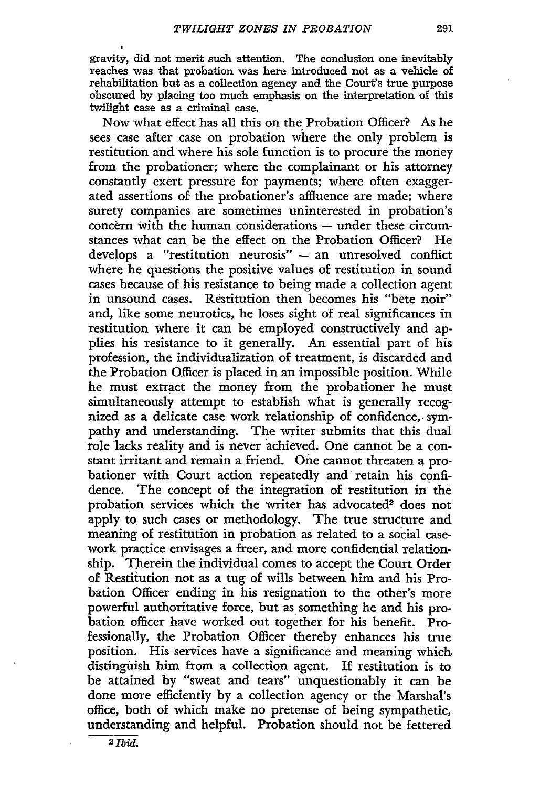gravity, did not merit such attention. The conclusion one inevitably reaches was **that** probation was here introduced not as a vehicle **of** rehabilitation but as a collection agency and the Court's true purpose obscured by placing too much emphasis on the interpretation of this twilight case as a criminal case.

Now what effect has all this on the Probation Officer? As he sees case after case on probation where the only problem is restitution and where his sole function is to procure the money from the probationer; where the complainant or his attorney constantly exert pressure for payments; where often exaggerated assertions of the probationer's affluence are made; where surety companies are sometimes uninterested in probation's concern with the human considerations - under these circumstances what can be the effect on the Probation Officer? He develops a "restitution neurosis" **-** an unresolved conflict where he questions the positive values of restitution in sound cases because of his resistance to being made a collection agent in unsound cases. Restitution then becomes his "bete noir" and, like some neurotics, he loses sight of real significances in restitution where it can be employed constructively and applies his resistance to it generally. An essential part of his profession, the individualization of treatment, is discarded and the Probation Officer is placed in an impossible position. While he must extract the money from the probationer he must simultaneously attempt to establish what is generally recognized as a delicate case work relationship of confidence, sympathy and understanding. The writer submits that this dual role lacks reality and is never 'achieved. One cannot be a constant irritant and remain a friend. One cannot threaten a probationer with Court action repeatedly and retain his confidence. The concept of the integration of restitution in the probation services which the writer has advocated<sup>2</sup> does not apply to such cases or methodology. The true structure and meaning of restitution in probation as related to a social casework practice envisages a freer, and more confidential relationship. Therein the individual comes to accept the Court Order of Restitution not as a tug of wills between him and his Probation Officer ending in his resignation to the other's more powerful authoritative force, but as something he and his probation officer have worked out together for his benefit. Professionally, the Probation Officer thereby enhances his true position. His services have a significance and meaning which. distinguish him from a collection agent. If restitution is to be attained by "sweat and tears" unquestionably it can be done more efficiently by a collection agency or the Marshal's office, both of which make no pretense of being sympathetic, understanding and helpful. Probation should not be fettered

2 *Ibid.*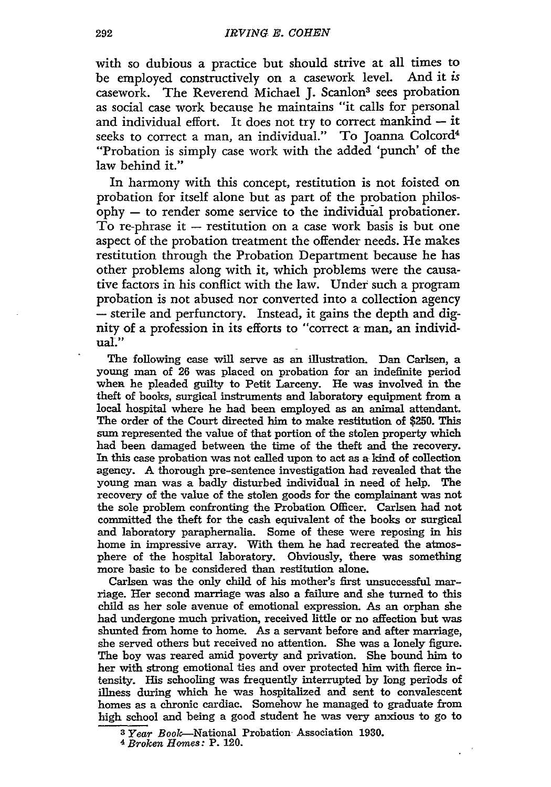with so dubious a practice but should strive at all times to be employed constructively on a casework level. And it *is* casework. The Reverend Michael J. Scanlon3 sees probation as social case work because he maintains "it calls for personal and individual effort. It does not try to correct mankind  $-$  it seeks to correct a man, an individual." To Joanna Colcord<sup>4</sup> "Probation is simply case work with the added 'punch' of the law behind it."

In harmony with this concept, restitution is not foisted on probation for itself alone but as part of the probation philosophy - to render some service to the individual probationer. To re-phrase it  $-$  restitution on a case work basis is but one aspect of the probation treatment the offender needs. He makes restitution through the Probation Department because he has other problems along with it, which problems were the causative factors in his conflict with the law. Under such a program probation is not abused nor converted into a collection agency - sterile and perfunctory. Instead, it gains the depth and dignity of a profession in its efforts to "correct a man, an individual."

The following case will serve as an illustration. Dan Carisen, a young man of 26 was placed on probation for an indefinite period whea he pleaded guilty to Petit Larceny. He was involved in the theft of books, surgical instruments and laboratory equipment from a local hospital where he had been employed as an animal attendant. The order of the Court directed him to make restitution of \$250. This sum represented the value of that portion of the stolen property which had been damaged between the time of the theft and the recovery. In this case probation was not called upon to act as a kind of collection agency. A thorough pre-sentence investigation had revealed that the young man was a badly disturbed individual in need of help. The recovery of the value of the stolen goods for the complainant was not the sole problem confronting the Probation Officer. Carisen had not committed the theft for the cash equivalent of the books or surgical and laboratory paraphernalia. Some of these were reposing in his home in impressive array. With them he had recreated the atmosphere of the hospital laboratory. Obviously, there was something more basic to be considered than restitution alone.

Carisen was the only child of his mother's first unsuccessful marriage. Her second marriage was also a failure and she turned to this child as her sole avenue of emotional expression. As an orphan she had undergone much privation, received little or no affection but was shunted from home to home. As a servant before and after marriage, she served others but received no attention. She was a lonely figure. The boy was reared amid poverty and privation. She bound him to her with strong emotional ties and over protected him with fierce intensity. His schooling was frequently interrupted by long periods of illness during which he was hospitalized and sent to convalescent homes as a chronic cardiac. Somehow he managed to graduate from high school and being a good student he was very anxious to go to

**<sup>3</sup>** *Year* Book-National Probation Association 1930.

*<sup>4</sup> Broken Homes:* P. 120.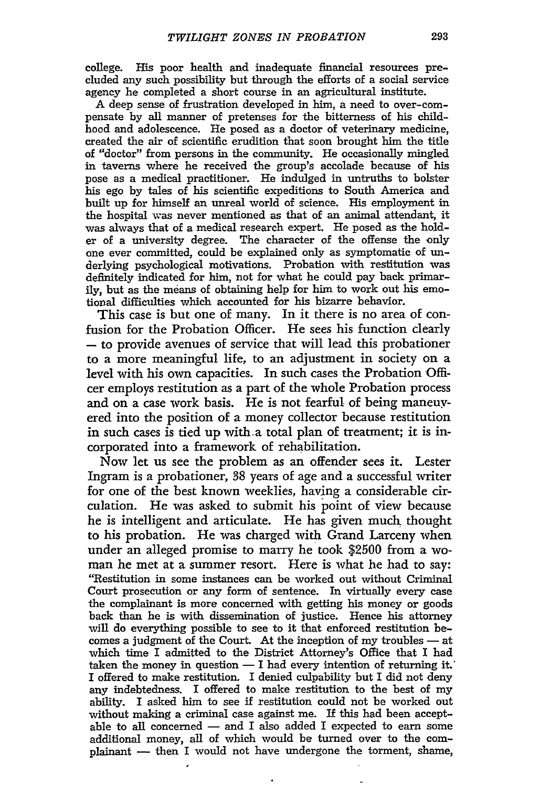college. His poor health and inadequate financial resources precluded any such possibility but through the efforts of a social service agency he completed a short course in an agricultural institute.

**A** deep sense of frustration developed in him, a need to over-compensate **by** all manner of pretenses for the bitterness of his childhood and adolescence. He posed as a doctor of veterinary medicine, created the air of scientific erudition that soon brought him the title of "doctor" from persons in the community. He occasionally mingled in taverns where he received the group's accolade because of his pose as a medical practitioner. He indulged in untruths to bolster his ego by tales of his scientific expeditions to South America and built up for himself an unreal world of science. His employment in the hospital was never mentioned as that of an animal attendant, it was always that of a medical research expert. He posed as the holder of a university degree. The character of the offense the only one ever committed, could be explained only as symptomatic of underlying psychological motivations. Probation with restitution was definitely indicated for him, not for what he could pay back primarily, but as the means of obtaining help for him to work out his emotional difficulties which accounted for his bizarre behavior.

This case is but one of many. In it there is no area of confusion for the Probation Officer. He sees his function clearly **-** to provide avenues of service that will lead this probationer to a more meaningful life, to an adjustment in society on a level with his own capacities. In such cases the Probation **Offi**cer employs restitution as a part of the whole Probation process and on a case work basis. He is not fearful of being maneuyered into the position of a money collector because restitution in such cases is tied up with. a total plan of treatment; it is incorporated into a framework of rehabilitation.

Now let us see the problem as an offender sees it. Lester Ingram is a probationer, 38 years of age and a successful writer for one of the best known weeklies, having a considerable circulation. He was asked to submit his point of view because he is intelligent and articulate. He has given much thought to his probation. He was charged with Grand Larceny when under an alleged promise to marry he took **\$2500** from a woman he met at a summer resort. Here is what he had to say: "Restitution in some instances can be worked out without Criminal Court prosecution or any form of sentence. In virtually every case the complainant is more concerned with getting his money or goods back than he is with dissemination of justice. Hence his attorney will do everything possible to see to it that enforced restitution becomes a judgment of the Court. At the inception of my troubles  $-$  at which time I admitted to the District Attorney's Office that I had taken the money in question  $-$  I had every intention of returning it. I offered to make restitution. I denied culpability but I did not deny any indebtedness. I offered to make restitution to the best of my ability. I asked him to see if restitution could not be worked out without making a criminal case against me. **If** this had been acceptable to all concerned  $-$  and I also added I expected to earn some additional money, all of which would be turned over to the complainant - then I would not have undergone the torment, shame,